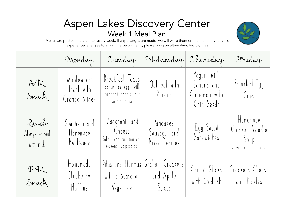## Aspen Lakes Discovery Center Week 1 Meal Plan



|                                     | Monday                                    | Tuesday                                                                         | Wednesday                                     | Thursday                                                 | Friday                                                     |
|-------------------------------------|-------------------------------------------|---------------------------------------------------------------------------------|-----------------------------------------------|----------------------------------------------------------|------------------------------------------------------------|
| A.4M<br>Snack                       | Wholewheat<br>Toast with<br>Orange Slices | Breakfast Tacos<br>scrambled eggs with<br>shredded cheese in a<br>soft tortilla | Oatmeal with<br>Raisins                       | Yogurt with<br>Banana and<br>Cinnamon with<br>Chia Seeds | Breakfast Egg<br>(ups                                      |
| Lunch<br>Always served<br>with milk | Spaghetti and<br>Homemade<br>Meatsauce    | Lacoroni and<br>Cheese<br>Baked with zucchini and<br>seasonal vegetables        | Pancakes<br>Sausage and<br>Mixed Berries      | Egg Salad<br>Sandwiches                                  | Homemade<br>Chicken Noodle<br>Soup<br>served with crackers |
| P.M.<br>Snack                       | Homemade<br>Blueberry<br>Muffins          | with a Seasonal<br>Vegetable   Slices                                           | Pitas and Hummus Graham Crackers<br>and Apple | Carrot Sticks<br>with Goldfish                           | Crackers Cheese<br>and Pickles                             |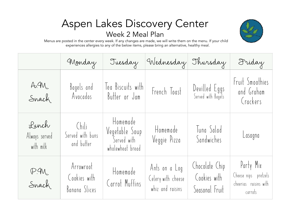## Aspen Lakes Discovery Center Week 2 Meal Plan

|                                     | Monday                                     | Tuesday                                                       | Wednesday Thursday                                      |                                                  | Friday                                                                |
|-------------------------------------|--------------------------------------------|---------------------------------------------------------------|---------------------------------------------------------|--------------------------------------------------|-----------------------------------------------------------------------|
| A.4M<br>Snach                       | Bagels and<br>Avocados                     | Tea Biscuits with<br>Butter or Jam                            | French Toast                                            | Devilled Eggs<br>Served with Bagels              | Fruit Smoothies<br>and Graham<br>Crackers                             |
| Lunch<br>Always served<br>with milk | Chili<br>Served with buns<br>and butter    | Homemade<br>Vegetable Soup<br>Served with<br>wholewheat bread | Homemade<br>Veggie Pizza                                | Tuna Salad<br>Sandwiches                         | Lasagna                                                               |
| P.M.<br>Snack                       | Arrowroot<br>Cookies with<br>Banana Slices | Homemade<br>Carrot Muffins                                    | Ants on a Log<br>Celery with cheese<br>whiz and raisins | Chocolate Chip<br>Cookies with<br>Seasonal Fruit | Party Mix<br>Cheese nips pretzels<br>cheerios raisins with<br>carrots |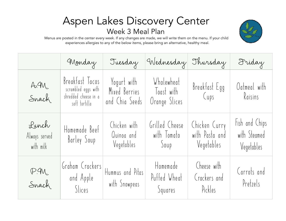## Aspen Lakes Discovery Center Week 3 Meal Plan



|                                     | Monday                                                                          | Tuesday                                        | Wednesday Thursday                        |                                               | Friday                                       |
|-------------------------------------|---------------------------------------------------------------------------------|------------------------------------------------|-------------------------------------------|-----------------------------------------------|----------------------------------------------|
| A.4M<br>Snach                       | Breakfast Tacos<br>scrambled eggs with<br>shredded cheese in a<br>soft tortilla | Yogurt with<br>Mixed Berries<br>and Chia Seeds | Wholewheat<br>Toast with<br>Orange Slices | Breakfast Egg<br>(ups                         | Oatmeal with<br>Raisins                      |
| Lunch<br>Always served<br>with milk | Homemade Beef<br>Barley Soup                                                    | Chicken with<br>Quinoa and<br>Vegetables       | Grilled Cheese<br>with Tomato<br>Soup     | Chicken Curry<br>with Pasta and<br>Vegetables | Fish and Chips<br>with Steamed<br>Vegetables |
| P.M.<br>Snach                       | Graham Crackers<br>and Apple<br>Slices                                          | Hummus and Pitas<br>with Snowpeas              | Homemade<br>Puffed Wheat<br>Squares       | Cheese with<br>Crackers and<br>Pickles        | Carrots and<br>Pretzels                      |